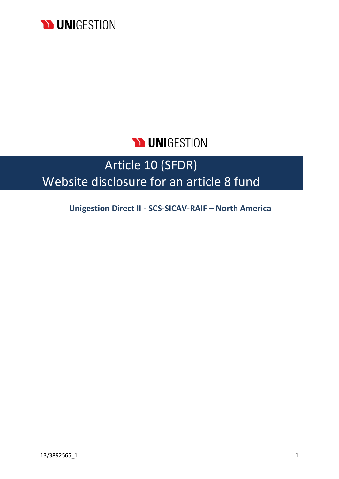

## **N UNIGESTION**

# Article 10 (SFDR) Website disclosure for an article 8 fund

**Unigestion Direct II - SCS-SICAV-RAIF – North America**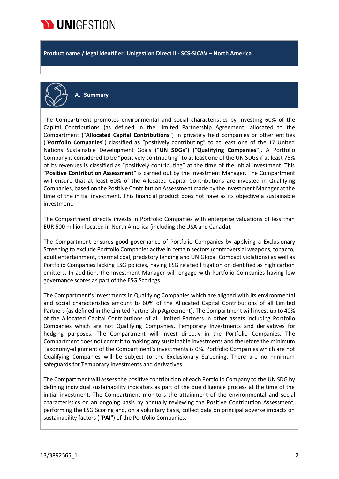

**Product name / legal identifier: Unigestion Direct II - SCS-SICAV – North America**



**A. Summary**

The Compartment promotes environmental and social characteristics by investing 60% of the Capital Contributions (as defined in the Limited Partnership Agreement) allocated to the Compartment ("**Allocated Capital Contributions**") in privately held companies or other entities ("**Portfolio Companies**") classified as "positively contributing" to at least one of the 17 United Nations Sustainable Development Goals ("**UN SDGs**") ("**Qualifying Companies**"). A Portfolio Company is considered to be "positively contributing" to at least one of the UN SDGs if at least 75% of its revenues is classified as "positively contributing" at the time of the initial investment. This "**Positive Contribution Assessment**" is carried out by the Investment Manager. The Compartment will ensure that at least 60% of the Allocated Capital Contributions are invested in Qualifying Companies, based on the Positive Contribution Assessment made by the Investment Manager at the time of the initial investment. This financial product does not have as its objective a sustainable investment.

The Compartment directly invests in Portfolio Companies with enterprise valuations of less than EUR 500 million located in North America (including the USA and Canada).

The Compartment ensures good governance of Portfolio Companies by applying a Exclusionary Screening to exclude Portfolio Companies active in certain sectors (controversial weapons, tobacco, adult entertainment, thermal coal, predatory lending and UN Global Compact violations) as well as Portfolio Companies lacking ESG policies, having ESG related litigation or identified as high carbon emitters. In addition, the Investment Manager will engage with Portfolio Companies having low governance scores as part of the ESG Scorings.

The Compartment's investments in Qualifying Companies which are aligned with its environmental and social characteristics amount to 60% of the Allocated Capital Contributions of all Limited Partners (as defined in the Limited Partnership Agreement). The Compartment will invest up to 40% of the Allocated Capital Contributions of all Limited Partners in other assets including Portfolio Companies which are not Qualifying Companies, Temporary Investments and derivatives for hedging purposes. The Compartment will invest directly in the Portfolio Companies. The Compartment does not commit to making any sustainable investments and therefore the minimum Taxonomy-alignment of the Compartment's investments is 0%. Portfolio Companies which are not Qualifying Companies will be subject to the Exclusionary Screening. There are no minimum safeguards for Temporary Investments and derivatives.

The Compartment will assess the positive contribution of each Portfolio Company to the UN SDG by defining individual sustainability indicators as part of the due diligence process at the time of the initial investment. The Compartment monitors the attainment of the environmental and social characteristics on an ongoing basis by annually reviewing the Positive Contribution Assessment, performing the ESG Scoring and, on a voluntary basis, collect data on principal adverse impacts on sustainability factors ("**PAI**") of the Portfolio Companies.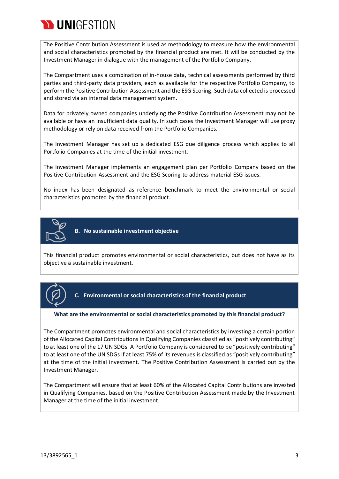

The Positive Contribution Assessment is used as methodology to measure how the environmental and social characteristics promoted by the financial product are met. It will be conducted by the Investment Manager in dialogue with the management of the Portfolio Company.

The Compartment uses a combination of in-house data, technical assessments performed by third parties and third-party data providers, each as available for the respective Portfolio Company, to perform the Positive Contribution Assessment and the ESG Scoring. Such data collected is processed and stored via an internal data management system.

Data for privately owned companies underlying the Positive Contribution Assessment may not be available or have an insufficient data quality. In such cases the Investment Manager will use proxy methodology or rely on data received from the Portfolio Companies.

The Investment Manager has set up a dedicated ESG due diligence process which applies to all Portfolio Companies at the time of the initial investment.

The Investment Manager implements an engagement plan per Portfolio Company based on the Positive Contribution Assessment and the ESG Scoring to address material ESG issues.

No index has been designated as reference benchmark to meet the environmental or social characteristics promoted by the financial product.



**B. No sustainable investment objective**

This financial product promotes environmental or social characteristics, but does not have as its objective a sustainable investment.



**C. Environmental or social characteristics of the financial product**

#### **What are the environmental or social characteristics promoted by this financial product?**

The Compartment promotes environmental and social characteristics by investing a certain portion of the Allocated Capital Contributions in Qualifying Companies classified as "positively contributing" to at least one of the 17 UN SDGs. A Portfolio Company is considered to be "positively contributing" to at least one of the UN SDGs if at least 75% of its revenues is classified as "positively contributing" at the time of the initial investment. The Positive Contribution Assessment is carried out by the Investment Manager.

The Compartment will ensure that at least 60% of the Allocated Capital Contributions are invested in Qualifying Companies, based on the Positive Contribution Assessment made by the Investment Manager at the time of the initial investment.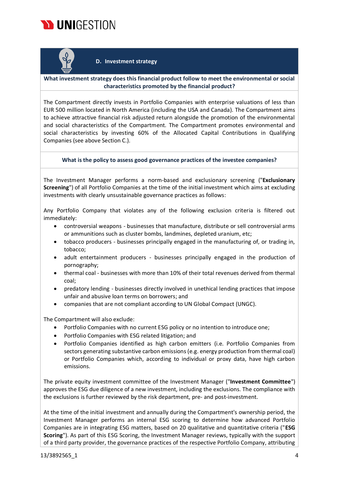



#### **D. Investment strategy**

#### **What investment strategy does this financial product follow to meet the environmental or social characteristics promoted by the financial product?**

The Compartment directly invests in Portfolio Companies with enterprise valuations of less than EUR 500 million located in North America (including the USA and Canada). The Compartment aims to achieve attractive financial risk adjusted return alongside the promotion of the environmental and social characteristics of the Compartment. The Compartment promotes environmental and social characteristics by investing 60% of the Allocated Capital Contributions in Qualifying Companies (see above Section C.).

#### **What is the policy to assess good governance practices of the investee companies?**

The Investment Manager performs a norm-based and exclusionary screening ("**Exclusionary Screening**") of all Portfolio Companies at the time of the initial investment which aims at excluding investments with clearly unsustainable governance practices as follows:

Any Portfolio Company that violates any of the following exclusion criteria is filtered out immediately:

- controversial weapons businesses that manufacture, distribute or sell controversial arms or ammunitions such as cluster bombs, landmines, depleted uranium, etc;
- tobacco producers businesses principally engaged in the manufacturing of, or trading in, tobacco;
- adult entertainment producers businesses principally engaged in the production of pornography;
- thermal coal businesses with more than 10% of their total revenues derived from thermal coal;
- predatory lending businesses directly involved in unethical lending practices that impose unfair and abusive loan terms on borrowers; and
- companies that are not compliant according to UN Global Compact (UNGC).

The Compartment will also exclude:

- Portfolio Companies with no current ESG policy or no intention to introduce one;
- Portfolio Companies with ESG related litigation; and
- Portfolio Companies identified as high carbon emitters (i.e. Portfolio Companies from sectors generating substantive carbon emissions (e.g. energy production from thermal coal) or Portfolio Companies which, according to individual or proxy data, have high carbon emissions.

The private equity investment committee of the Investment Manager ("**Investment Committee**") approves the ESG due diligence of a new investment, including the exclusions. The compliance with the exclusions is further reviewed by the risk department, pre- and post-investment.

At the time of the initial investment and annually during the Compartment's ownership period, the Investment Manager performs an internal ESG scoring to determine how advanced Portfolio Companies are in integrating ESG matters, based on 20 qualitative and quantitative criteria ("**ESG Scoring**"). As part of this ESG Scoring, the Investment Manager reviews, typically with the support of a third party provider, the governance practices of the respective Portfolio Company, attributing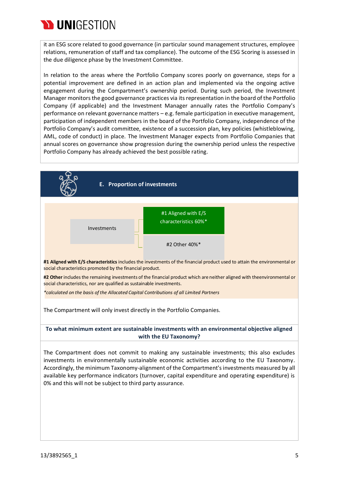

it an ESG score related to good governance (in particular sound management structures, employee relations, remuneration of staff and tax compliance). The outcome of the ESG Scoring is assessed in the due diligence phase by the Investment Committee.

In relation to the areas where the Portfolio Company scores poorly on governance, steps for a potential improvement are defined in an action plan and implemented via the ongoing active engagement during the Compartment's ownership period. During such period, the Investment Manager monitorsthe good governance practices via itsrepresentation in the board of the Portfolio Company (if applicable) and the Investment Manager annually rates the Portfolio Company's performance on relevant governance matters – e.g. female participation in executive management, participation of independent members in the board of the Portfolio Company, independence of the Portfolio Company's audit committee, existence of a succession plan, key policies (whistleblowing, AML, code of conduct) in place. The Investment Manager expects from Portfolio Companies that annual scores on governance show progression during the ownership period unless the respective Portfolio Company has already achieved the best possible rating.

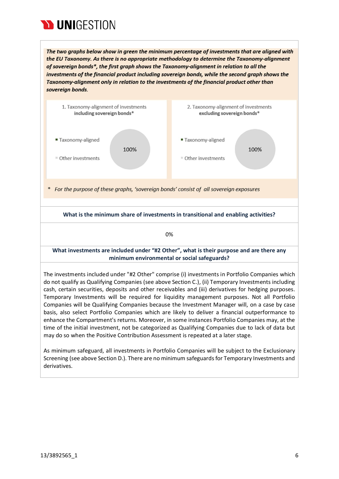

The two graphs below show in green the minimum percentage of investments that are aligned with the EU Taxonomy. As there is no appropriate methodology to determine the Taxonomy-alignment of sovereign bonds\*, the first graph shows the Taxonomy-alignment in relation to all the investments of the financial product including sovereign bonds, while the second graph shows the Taxonomy-alignment only in relation to the investments of the financial product other than sovereign bonds.



As minimum safeguard, all investments in Portfolio Companies will be subject to the Exclusionary Screening (see above Section D.). There are no minimum safeguards for Temporary Investments and derivatives.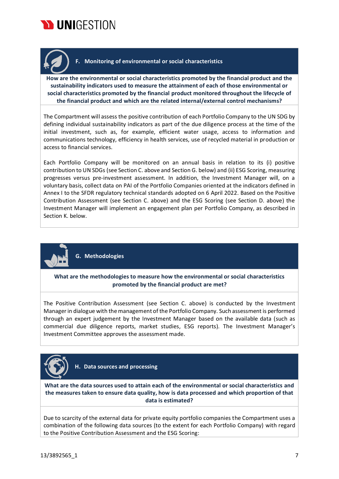



## **F. Monitoring of environmental or social characteristics**

**How are the environmental or social characteristics promoted by the financial product and the sustainability indicators used to measure the attainment of each of those environmental or social characteristics promoted by the financial product monitored throughout the lifecycle of the financial product and which are the related internal/external control mechanisms?**

The Compartment will assess the positive contribution of each Portfolio Company to the UN SDG by defining individual sustainability indicators as part of the due diligence process at the time of the initial investment, such as, for example, efficient water usage, access to information and communications technology, efficiency in health services, use of recycled material in production or access to financial services.

Each Portfolio Company will be monitored on an annual basis in relation to its (i) positive contribution to UN SDGs (see Section C. above and Section G. below) and (ii) ESG Scoring, measuring progresses versus pre-investment assessment. In addition, the Investment Manager will, on a voluntary basis, collect data on PAI of the Portfolio Companies oriented at the indicators defined in Annex I to the SFDR regulatory technical standards adopted on 6 April 2022. Based on the Positive Contribution Assessment (see Section C. above) and the ESG Scoring (see Section D. above) the Investment Manager will implement an engagement plan per Portfolio Company, as described in Section K. below.



**G. Methodologies**

**What are the methodologies to measure how the environmental or social characteristics promoted by the financial product are met?**

The Positive Contribution Assessment (see Section C. above) is conducted by the Investment Managerin dialogue with the management of the Portfolio Company. Such assessment is performed through an expert judgement by the Investment Manager based on the available data (such as commercial due diligence reports, market studies, ESG reports). The Investment Manager's Investment Committee approves the assessment made.



**H. Data sources and processing**

**What are the data sources used to attain each of the environmental or social characteristics and the measures taken to ensure data quality, how is data processed and which proportion of that data is estimated?**

Due to scarcity of the external data for private equity portfolio companies the Compartment uses a combination of the following data sources (to the extent for each Portfolio Company) with regard to the Positive Contribution Assessment and the ESG Scoring: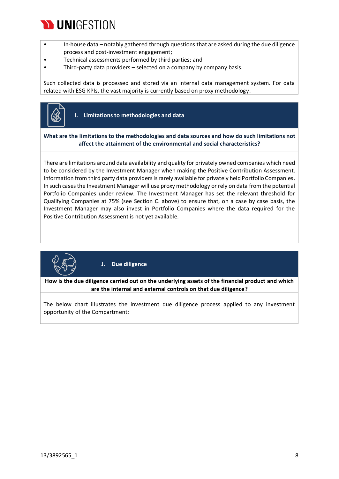

- In-house data notably gathered through questions that are asked during the due diligence process and post-investment engagement;
- Technical assessments performed by third parties; and
- Third-party data providers selected on a company by company basis.

Such collected data is processed and stored via an internal data management system. For data related with ESG KPIs, the vast majority is currently based on proxy methodology.



**I. Limitations to methodologies and data**

#### **What are the limitations to the methodologies and data sources and how do such limitations not affect the attainment of the environmental and social characteristics?**

There are limitations around data availability and quality for privately owned companies which need to be considered by the Investment Manager when making the Positive Contribution Assessment. Information from third party data providers is rarely available for privately held Portfolio Companies. In such cases the Investment Manager will use proxy methodology or rely on data from the potential Portfolio Companies under review. The Investment Manager has set the relevant threshold for Qualifying Companies at 75% (see Section C. above) to ensure that, on a case by case basis, the Investment Manager may also invest in Portfolio Companies where the data required for the Positive Contribution Assessment is not yet available.



**J. Due diligence**

**How is the due diligence carried out on the underlying assets of the financial product and which are the internal and external controls on that due diligence?**

The below chart illustrates the investment due diligence process applied to any investment opportunity of the Compartment: